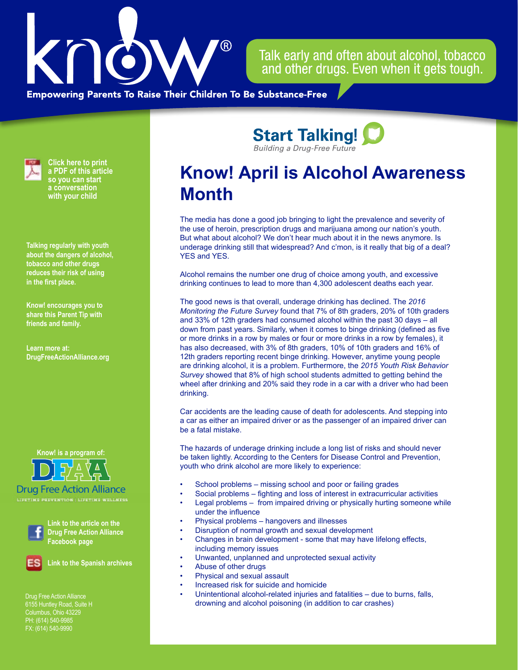

Talk early and often about alcohol, tobacco and other drugs. Even when it gets tough.

**Empowering Parents To Raise Their Children To Be Substance-Free** 



**Click here to print a PDF of this article so you can start a conversation with your child**

**Talking regularly with youth about the dangers of alcohol, tobacco and other drugs reduces their risk of using in the first place.**

**Know! encourages you to share this Parent Tip with friends and family.**

**Learn more at: [DrugFreeActionAlliance.org](https://www.drugfreeactionalliance.org/)**



Drug Free Action Alliance



**Link to the article on the Drug Free Action Alliance Facebook page**



**Link to the Spanish archives**

Drug Free Action Alliance Columbus, Ohio 43229 PH: (614) 540-9985 FX: (614) 540-9990

**Know! April is Alcohol Awareness Month** 

**Start Talking! Building a Drug-Free Future** 

The media has done a good job bringing to light the prevalence and severity of the use of heroin, prescription drugs and marijuana among our nation's youth. But what about alcohol? We don't hear much about it in the news anymore. Is underage drinking still that widespread? And c'mon, is it really that big of a deal? YES and YES.

Alcohol remains the number one drug of choice among youth, and excessive drinking continues to lead to more than 4,300 adolescent deaths each year.

The good news is that overall, underage drinking has declined. The *2016 Monitoring the Future Survey* found that 7% of 8th graders, 20% of 10th graders and 33% of 12th graders had consumed alcohol within the past 30 days – all down from past years. Similarly, when it comes to binge drinking (defined as five or more drinks in a row by males or four or more drinks in a row by females), it has also decreased, with 3% of 8th graders, 10% of 10th graders and 16% of 12th graders reporting recent binge drinking. However, anytime young people are drinking alcohol, it is a problem. Furthermore, the *2015 Youth Risk Behavior Survey* showed that 8% of high school students admitted to getting behind the wheel after drinking and 20% said they rode in a car with a driver who had been drinking.

Car accidents are the leading cause of death for adolescents. And stepping into a car as either an impaired driver or as the passenger of an impaired driver can be a fatal mistake.

The hazards of underage drinking include a long list of risks and should never be taken lightly. According to the Centers for Disease Control and Prevention, youth who drink alcohol are more likely to experience:

- School problems missing school and poor or failing grades
- Social problems fighting and loss of interest in extracurricular activities
- Legal problems from impaired driving or physically hurting someone while under the influence
- Physical problems hangovers and illnesses
- Disruption of normal growth and sexual development
- Changes in brain development some that may have lifelong effects, including memory issues
- Unwanted, unplanned and unprotected sexual activity
- Abuse of other drugs
- Physical and sexual assault
- Increased risk for suicide and homicide
- Unintentional alcohol-related injuries and fatalities due to burns, falls, drowning and alcohol poisoning (in addition to car crashes)